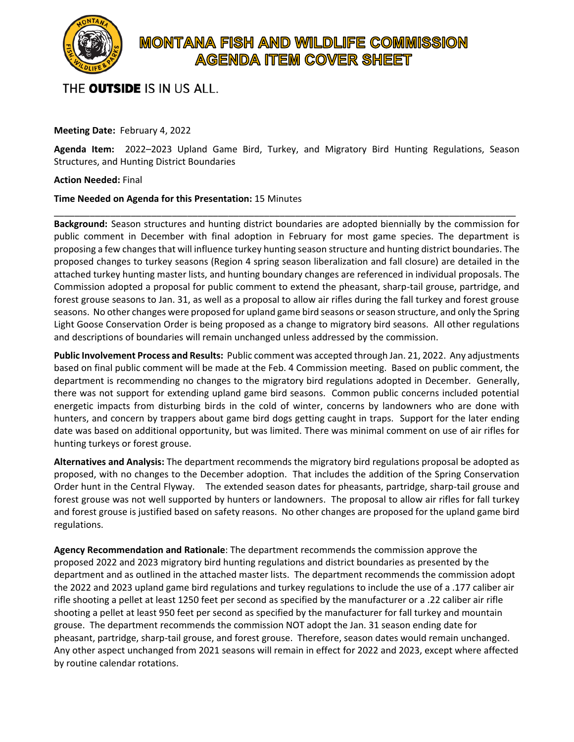

## **MONTANA FISH AND WILDLIFE COMMISSION AGENDA ITEM COVER SHEET**

THE **OUTSIDE** IS IN US ALL.

## **Meeting Date:** February 4, 2022

**Agenda Item:** 2022–2023 Upland Game Bird, Turkey, and Migratory Bird Hunting Regulations, Season Structures, and Hunting District Boundaries

\_\_\_\_\_\_\_\_\_\_\_\_\_\_\_\_\_\_\_\_\_\_\_\_\_\_\_\_\_\_\_\_\_\_\_\_\_\_\_\_\_\_\_\_\_\_\_\_\_\_\_\_\_\_\_\_\_\_\_\_\_\_\_\_\_\_\_\_\_\_\_\_\_\_\_\_\_\_\_\_\_\_\_\_\_\_\_\_\_\_

## **Action Needed:** Final

## **Time Needed on Agenda for this Presentation:** 15 Minutes

**Background:** Season structures and hunting district boundaries are adopted biennially by the commission for public comment in December with final adoption in February for most game species. The department is proposing a few changes that will influence turkey hunting season structure and hunting district boundaries. The proposed changes to turkey seasons (Region 4 spring season liberalization and fall closure) are detailed in the attached turkey hunting master lists, and hunting boundary changes are referenced in individual proposals. The Commission adopted a proposal for public comment to extend the pheasant, sharp-tail grouse, partridge, and forest grouse seasons to Jan. 31, as well as a proposal to allow air rifles during the fall turkey and forest grouse seasons. No other changes were proposed for upland game bird seasons or season structure, and only the Spring Light Goose Conservation Order is being proposed as a change to migratory bird seasons. All other regulations and descriptions of boundaries will remain unchanged unless addressed by the commission.

**Public Involvement Process and Results:** Public comment was accepted through Jan. 21, 2022. Any adjustments based on final public comment will be made at the Feb. 4 Commission meeting. Based on public comment, the department is recommending no changes to the migratory bird regulations adopted in December. Generally, there was not support for extending upland game bird seasons. Common public concerns included potential energetic impacts from disturbing birds in the cold of winter, concerns by landowners who are done with hunters, and concern by trappers about game bird dogs getting caught in traps. Support for the later ending date was based on additional opportunity, but was limited. There was minimal comment on use of air rifles for hunting turkeys or forest grouse.

**Alternatives and Analysis:** The department recommends the migratory bird regulations proposal be adopted as proposed, with no changes to the December adoption. That includes the addition of the Spring Conservation Order hunt in the Central Flyway. The extended season dates for pheasants, partridge, sharp-tail grouse and forest grouse was not well supported by hunters or landowners. The proposal to allow air rifles for fall turkey and forest grouse is justified based on safety reasons. No other changes are proposed for the upland game bird regulations.

**Agency Recommendation and Rationale**: The department recommends the commission approve the proposed 2022 and 2023 migratory bird hunting regulations and district boundaries as presented by the department and as outlined in the attached master lists. The department recommends the commission adopt the 2022 and 2023 upland game bird regulations and turkey regulations to include the use of a .177 caliber air rifle shooting a pellet at least 1250 feet per second as specified by the manufacturer or a .22 caliber air rifle shooting a pellet at least 950 feet per second as specified by the manufacturer for fall turkey and mountain grouse. The department recommends the commission NOT adopt the Jan. 31 season ending date for pheasant, partridge, sharp-tail grouse, and forest grouse. Therefore, season dates would remain unchanged. Any other aspect unchanged from 2021 seasons will remain in effect for 2022 and 2023, except where affected by routine calendar rotations.